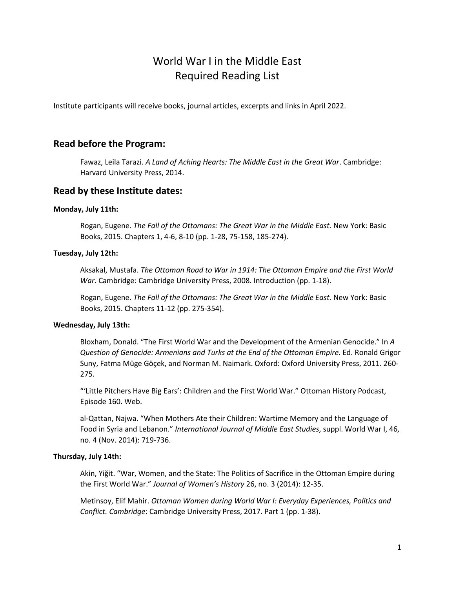# World War I in the Middle East Required Reading List

Institute participants will receive books, journal articles, excerpts and links in April 2022.

# **Read before the Program:**

Fawaz, Leila Tarazi. *A Land of Aching Hearts: The Middle East in the Great War*. Cambridge: Harvard University Press, 2014.

# **Read by these Institute dates:**

# **Monday, July 11th:**

Rogan, Eugene. *The Fall of the Ottomans: The Great War in the Middle East.* New York: Basic Books, 2015. Chapters 1, 4-6, 8-10 (pp. 1-28, 75-158, 185-274).

# **Tuesday, July 12th:**

Aksakal, Mustafa. *The Ottoman Road to War in 1914: The Ottoman Empire and the First World War.* Cambridge: Cambridge University Press, 2008. Introduction (pp. 1-18).

Rogan, Eugene. *The Fall of the Ottomans: The Great War in the Middle East.* New York: Basic Books, 2015. Chapters 11-12 (pp. 275-354).

# **Wednesday, July 13th:**

Bloxham, Donald. "The First World War and the Development of the Armenian Genocide." In *A Question of Genocide: Armenians and Turks at the End of the Ottoman Empire.* Ed. Ronald Grigor Suny, Fatma Müge Göçek, and Norman M. Naimark. Oxford: Oxford University Press, 2011. 260- 275.

"'Little Pitchers Have Big Ears': Children and the First World War." Ottoman History Podcast, Episode 160. Web.

al-Qattan, Najwa. "When Mothers Ate their Children: Wartime Memory and the Language of Food in Syria and Lebanon." *International Journal of Middle East Studies*, suppl. World War I, 46, no. 4 (Nov. 2014): 719-736.

# **Thursday, July 14th:**

Akin, Yiğit. "War, Women, and the State: The Politics of Sacrifice in the Ottoman Empire during the First World War." *Journal of Women's History* 26, no. 3 (2014): 12-35.

Metinsoy, Elif Mahir. *Ottoman Women during World War I: Everyday Experiences, Politics and Conflict. Cambridge*: Cambridge University Press, 2017. Part 1 (pp. 1-38).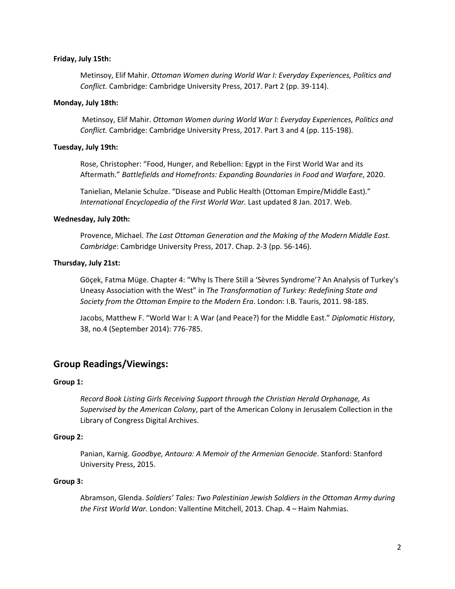#### **Friday, July 15th:**

Metinsoy, Elif Mahir. *Ottoman Women during World War I: Everyday Experiences, Politics and Conflict.* Cambridge: Cambridge University Press, 2017. Part 2 (pp. 39-114).

#### **Monday, July 18th:**

Metinsoy, Elif Mahir. *Ottoman Women during World War I: Everyday Experiences, Politics and Conflict.* Cambridge: Cambridge University Press, 2017. Part 3 and 4 (pp. 115-198).

### **Tuesday, July 19th:**

Rose, Christopher: "Food, Hunger, and Rebellion: Egypt in the First World War and its Aftermath." *Battlefields and Homefronts: Expanding Boundaries in Food and Warfare*, 2020.

Tanielian, Melanie Schulze. "Disease and Public Health (Ottoman Empire/Middle East)." *International Encyclopedia of the First World War.* Last updated 8 Jan. 2017. Web.

#### **Wednesday, July 20th:**

Provence, Michael. *The Last Ottoman Generation and the Making of the Modern Middle East. Cambridge*: Cambridge University Press, 2017. Chap. 2-3 (pp. 56-146).

#### **Thursday, July 21st:**

Göçek, Fatma Müge. Chapter 4: "Why Is There Still a 'Sèvres Syndrome'? An Analysis of Turkey's Uneasy Association with the West" in *The Transformation of Turkey: Redefining State and Society from the Ottoman Empire to the Modern Era*. London: I.B. Tauris, 2011. 98-185.

Jacobs, Matthew F. "World War I: A War (and Peace?) for the Middle East." *Diplomatic History*, 38, no.4 (September 2014): 776-785.

# **Group Readings/Viewings:**

# **Group 1:**

*Record Book Listing Girls Receiving Support through the Christian Herald Orphanage, As Supervised by the American Colony*, part of the American Colony in Jerusalem Collection in the Library of Congress Digital Archives.

# **Group 2:**

Panian, Karnig. *Goodbye, Antoura: A Memoir of the Armenian Genocide*. Stanford: Stanford University Press, 2015.

#### **Group 3:**

Abramson, Glenda. *Soldiers' Tales: Two Palestinian Jewish Soldiers in the Ottoman Army during the First World War.* London: Vallentine Mitchell, 2013. Chap. 4 – Haim Nahmias.